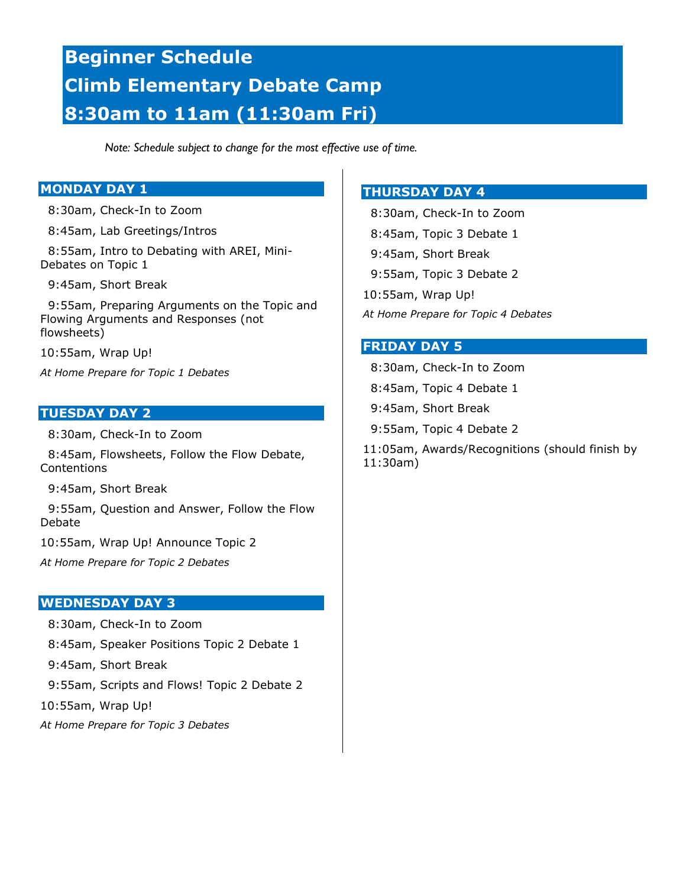# **Beginner Schedule Climb Elementary Debate Camp 8:30am to 11am (11:30am Fri)**

*Note: Schedule subject to change for the most effective use of time.*

# **MONDAY DAY 1**

8:30am, Check-In to Zoom

8:45am, Lab Greetings/Intros

 8:55am, Intro to Debating with AREI, Mini-Debates on Topic 1

9:45am, Short Break

 9:55am, Preparing Arguments on the Topic and Flowing Arguments and Responses (not flowsheets)

10:55am, Wrap Up!

*At Home Prepare for Topic 1 Debates*

## **TUESDAY DAY 2**

8:30am, Check-In to Zoom

 8:45am, Flowsheets, Follow the Flow Debate, Contentions

9:45am, Short Break

 9:55am, Question and Answer, Follow the Flow Debate

10:55am, Wrap Up! Announce Topic 2

*At Home Prepare for Topic 2 Debates*

## **WEDNESDAY DAY 3**

 8:30am, Check-In to Zoom 8:45am, Speaker Positions Topic 2 Debate 1 9:45am, Short Break 9:55am, Scripts and Flows! Topic 2 Debate 2 10:55am, Wrap Up! *At Home Prepare for Topic 3 Debates*

# **THURSDAY DAY 4**

 8:30am, Check-In to Zoom 8:45am, Topic 3 Debate 1 9:45am, Short Break 9:55am, Topic 3 Debate 2 10:55am, Wrap Up! *At Home Prepare for Topic 4 Debates*

#### **FRIDAY DAY 5**

 8:30am, Check-In to Zoom 8:45am, Topic 4 Debate 1 9:45am, Short Break 9:55am, Topic 4 Debate 2 11:05am, Awards/Recognitions (should finish by 11:30am)